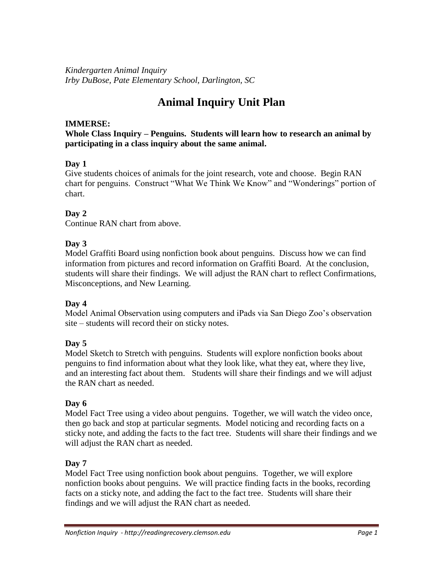*Kindergarten Animal Inquiry Irby DuBose, Pate Elementary School, Darlington, SC*

# **Animal Inquiry Unit Plan**

## **IMMERSE:**

**Whole Class Inquiry – Penguins. Students will learn how to research an animal by participating in a class inquiry about the same animal.** 

## **Day 1**

Give students choices of animals for the joint research, vote and choose. Begin RAN chart for penguins. Construct "What We Think We Know" and "Wonderings" portion of chart.

# **Day 2**

Continue RAN chart from above.

## **Day 3**

Model Graffiti Board using nonfiction book about penguins. Discuss how we can find information from pictures and record information on Graffiti Board. At the conclusion, students will share their findings. We will adjust the RAN chart to reflect Confirmations, Misconceptions, and New Learning.

## **Day 4**

Model Animal Observation using computers and iPads via San Diego Zoo's observation site – students will record their on sticky notes.

## **Day 5**

Model Sketch to Stretch with penguins. Students will explore nonfiction books about penguins to find information about what they look like, what they eat, where they live, and an interesting fact about them. Students will share their findings and we will adjust the RAN chart as needed.

# **Day 6**

Model Fact Tree using a video about penguins. Together, we will watch the video once, then go back and stop at particular segments. Model noticing and recording facts on a sticky note, and adding the facts to the fact tree. Students will share their findings and we will adjust the RAN chart as needed.

# **Day 7**

Model Fact Tree using nonfiction book about penguins. Together, we will explore nonfiction books about penguins. We will practice finding facts in the books, recording facts on a sticky note, and adding the fact to the fact tree. Students will share their findings and we will adjust the RAN chart as needed.